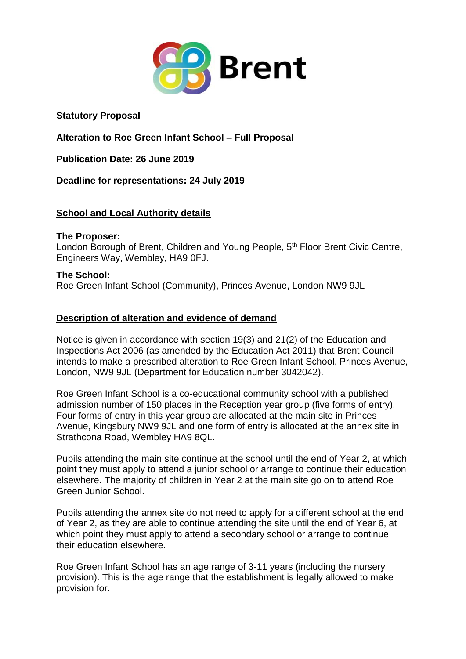

**Statutory Proposal**

**Alteration to Roe Green Infant School – Full Proposal**

**Publication Date: 26 June 2019**

**Deadline for representations: 24 July 2019**

# **School and Local Authority details**

#### **The Proposer:**

London Borough of Brent, Children and Young People, 5<sup>th</sup> Floor Brent Civic Centre, Engineers Way, Wembley, HA9 0FJ.

## **The School:**

Roe Green Infant School (Community), Princes Avenue, London NW9 9JL

# **Description of alteration and evidence of demand**

Notice is given in accordance with section 19(3) and 21(2) of the Education and Inspections Act 2006 (as amended by the Education Act 2011) that Brent Council intends to make a prescribed alteration to Roe Green Infant School, Princes Avenue, London, NW9 9JL (Department for Education number 3042042).

Roe Green Infant School is a co-educational community school with a published admission number of 150 places in the Reception year group (five forms of entry). Four forms of entry in this year group are allocated at the main site in Princes Avenue, Kingsbury NW9 9JL and one form of entry is allocated at the annex site in Strathcona Road, Wembley HA9 8QL.

Pupils attending the main site continue at the school until the end of Year 2, at which point they must apply to attend a junior school or arrange to continue their education elsewhere. The majority of children in Year 2 at the main site go on to attend Roe Green Junior School.

Pupils attending the annex site do not need to apply for a different school at the end of Year 2, as they are able to continue attending the site until the end of Year 6, at which point they must apply to attend a secondary school or arrange to continue their education elsewhere.

Roe Green Infant School has an age range of 3-11 years (including the nursery provision). This is the age range that the establishment is legally allowed to make provision for.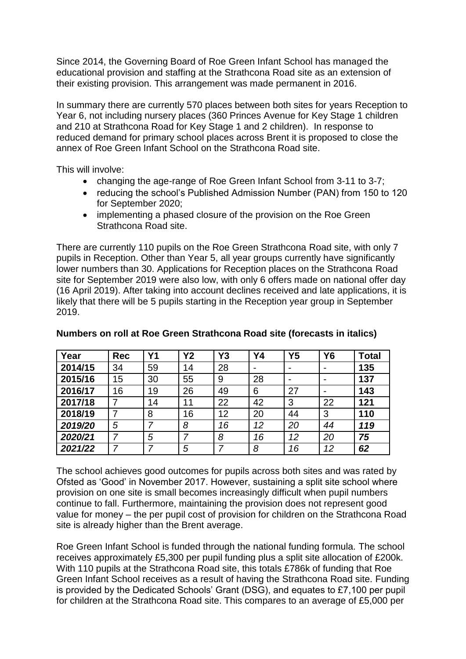Since 2014, the Governing Board of Roe Green Infant School has managed the educational provision and staffing at the Strathcona Road site as an extension of their existing provision. This arrangement was made permanent in 2016.

In summary there are currently 570 places between both sites for years Reception to Year 6, not including nursery places (360 Princes Avenue for Key Stage 1 children and 210 at Strathcona Road for Key Stage 1 and 2 children). In response to reduced demand for primary school places across Brent it is proposed to close the annex of Roe Green Infant School on the Strathcona Road site.

This will involve:

- changing the age-range of Roe Green Infant School from 3-11 to 3-7;
- reducing the school's Published Admission Number (PAN) from 150 to 120 for September 2020;
- implementing a phased closure of the provision on the Roe Green Strathcona Road site.

There are currently 110 pupils on the Roe Green Strathcona Road site, with only 7 pupils in Reception. Other than Year 5, all year groups currently have significantly lower numbers than 30. Applications for Reception places on the Strathcona Road site for September 2019 were also low, with only 6 offers made on national offer day (16 April 2019). After taking into account declines received and late applications, it is likely that there will be 5 pupils starting in the Reception year group in September 2019.

| Year    | <b>Rec</b> | Υ1 | <b>Y2</b> | Y3 | Y4             | Y5                       | <b>Y6</b> | <b>Total</b> |
|---------|------------|----|-----------|----|----------------|--------------------------|-----------|--------------|
| 2014/15 | 34         | 59 | 14        | 28 | $\blacksquare$ | $\overline{\phantom{0}}$ |           | 135          |
| 2015/16 | 15         | 30 | 55        | 9  | 28             |                          |           | 137          |
| 2016/17 | 16         | 19 | 26        | 49 | 6              | 27                       |           | 143          |
| 2017/18 |            | 14 | 11        | 22 | 42             | 3                        | 22        | 121          |
| 2018/19 |            | 8  | 16        | 12 | 20             | 44                       | 3         | 110          |
| 2019/20 | 5          |    | 8         | 16 | 12             | 20                       | 44        | 119          |
| 2020/21 |            | 5  |           | 8  | 16             | 12                       | 20        | 75           |
| 2021/22 |            |    | 5         |    | 8              | 16                       | 12        | 62           |

## **Numbers on roll at Roe Green Strathcona Road site (forecasts in italics)**

The school achieves good outcomes for pupils across both sites and was rated by Ofsted as 'Good' in November 2017. However, sustaining a split site school where provision on one site is small becomes increasingly difficult when pupil numbers continue to fall. Furthermore, maintaining the provision does not represent good value for money – the per pupil cost of provision for children on the Strathcona Road site is already higher than the Brent average.

Roe Green Infant School is funded through the national funding formula. The school receives approximately £5,300 per pupil funding plus a split site allocation of £200k. With 110 pupils at the Strathcona Road site, this totals £786k of funding that Roe Green Infant School receives as a result of having the Strathcona Road site. Funding is provided by the Dedicated Schools' Grant (DSG), and equates to £7,100 per pupil for children at the Strathcona Road site. This compares to an average of £5,000 per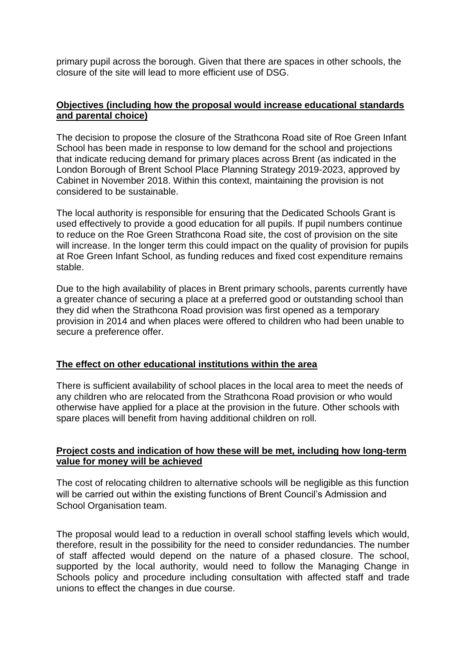primary pupil across the borough. Given that there are spaces in other schools, the closure of the site will lead to more efficient use of DSG.

# **Objectives (including how the proposal would increase educational standards and parental choice)**

The decision to propose the closure of the Strathcona Road site of Roe Green Infant School has been made in response to low demand for the school and projections that indicate reducing demand for primary places across Brent (as indicated in the London Borough of Brent School Place Planning Strategy 2019-2023, approved by Cabinet in November 2018. Within this context, maintaining the provision is not considered to be sustainable.

The local authority is responsible for ensuring that the Dedicated Schools Grant is used effectively to provide a good education for all pupils. If pupil numbers continue to reduce on the Roe Green Strathcona Road site, the cost of provision on the site will increase. In the longer term this could impact on the quality of provision for pupils at Roe Green Infant School, as funding reduces and fixed cost expenditure remains stable.

Due to the high availability of places in Brent primary schools, parents currently have a greater chance of securing a place at a preferred good or outstanding school than they did when the Strathcona Road provision was first opened as a temporary provision in 2014 and when places were offered to children who had been unable to secure a preference offer.

#### **The effect on other educational institutions within the area**

There is sufficient availability of school places in the local area to meet the needs of any children who are relocated from the Strathcona Road provision or who would otherwise have applied for a place at the provision in the future. Other schools with spare places will benefit from having additional children on roll.

#### **Project costs and indication of how these will be met, including how long-term value for money will be achieved**

The cost of relocating children to alternative schools will be negligible as this function will be carried out within the existing functions of Brent Council's Admission and School Organisation team.

The proposal would lead to a reduction in overall school staffing levels which would, therefore, result in the possibility for the need to consider redundancies. The number of staff affected would depend on the nature of a phased closure. The school, supported by the local authority, would need to follow the Managing Change in Schools policy and procedure including consultation with affected staff and trade unions to effect the changes in due course.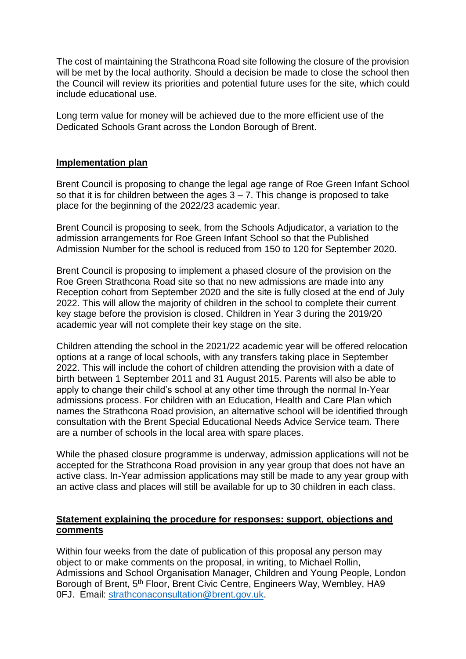The cost of maintaining the Strathcona Road site following the closure of the provision will be met by the local authority. Should a decision be made to close the school then the Council will review its priorities and potential future uses for the site, which could include educational use.

Long term value for money will be achieved due to the more efficient use of the Dedicated Schools Grant across the London Borough of Brent.

#### **Implementation plan**

Brent Council is proposing to change the legal age range of Roe Green Infant School so that it is for children between the ages  $3 - 7$ . This change is proposed to take place for the beginning of the 2022/23 academic year.

Brent Council is proposing to seek, from the Schools Adjudicator, a variation to the admission arrangements for Roe Green Infant School so that the Published Admission Number for the school is reduced from 150 to 120 for September 2020.

Brent Council is proposing to implement a phased closure of the provision on the Roe Green Strathcona Road site so that no new admissions are made into any Reception cohort from September 2020 and the site is fully closed at the end of July 2022. This will allow the majority of children in the school to complete their current key stage before the provision is closed. Children in Year 3 during the 2019/20 academic year will not complete their key stage on the site.

Children attending the school in the 2021/22 academic year will be offered relocation options at a range of local schools, with any transfers taking place in September 2022. This will include the cohort of children attending the provision with a date of birth between 1 September 2011 and 31 August 2015. Parents will also be able to apply to change their child's school at any other time through the normal In-Year admissions process. For children with an Education, Health and Care Plan which names the Strathcona Road provision, an alternative school will be identified through consultation with the Brent Special Educational Needs Advice Service team. There are a number of schools in the local area with spare places.

While the phased closure programme is underway, admission applications will not be accepted for the Strathcona Road provision in any year group that does not have an active class. In-Year admission applications may still be made to any year group with an active class and places will still be available for up to 30 children in each class.

#### **Statement explaining the procedure for responses: support, objections and comments**

Within four weeks from the date of publication of this proposal any person may object to or make comments on the proposal, in writing, to Michael Rollin, Admissions and School Organisation Manager, Children and Young People, London Borough of Brent, 5<sup>th</sup> Floor, Brent Civic Centre, Engineers Way, Wembley, HA9 0FJ. Email: [strathconaconsultation@brent.gov.uk.](mailto:strathconaconsultation@brent.gov.uk)